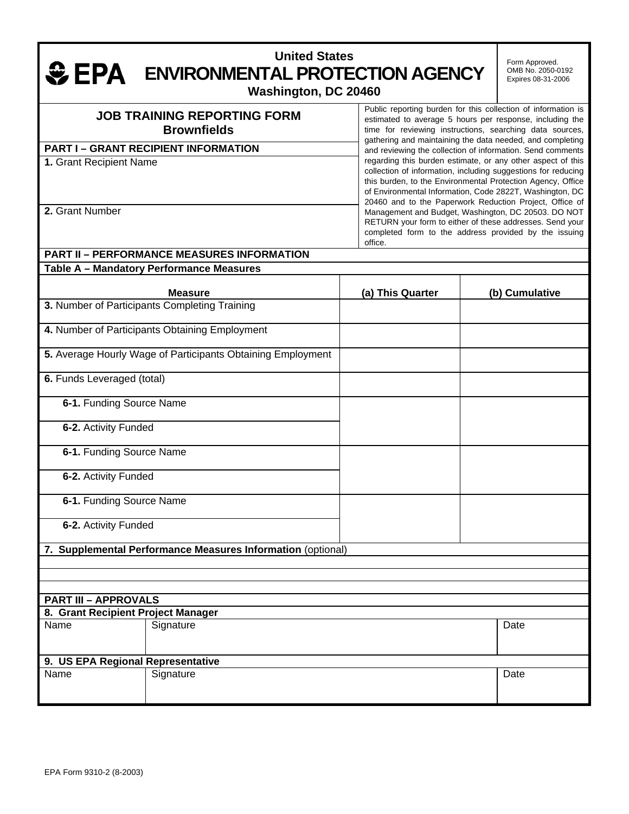#### **United States EPA** ENVIRONMENTAL PROTECTION AGENCY **Washington, DC 20460**  Form Approved. OMB No. 2050-0192 Expires 08-31-2006

#### **JOB TRAINING REPORTING FORM Brownfields PART I – GRANT RECIPIENT INFORMATION 1.** Grant Recipient Name **2.** Grant Number Public reporting burden for this collection of information is estimated to average 5 hours per response, including the time for reviewing instructions, searching data sources, gathering and maintaining the data needed, and completing and reviewing the collection of information. Send comments regarding this burden estimate, or any other aspect of this collection of information, including suggestions for reducing this burden, to the Environmental Protection Agency, Office of Environmental Information, Code 2822T, Washington, DC 20460 and to the Paperwork Reduction Project, Office of Management and Budget, Washington, DC 20503. DO NOT RETURN your form to either of these addresses. Send your completed form to the address provided by the issuing office.

# **PART II – PERFORMANCE MEASURES INFORMATION Table A – Mandatory Performance Measures Measure This Cuarter (a) This Quarter (b) Cumulative 3.** Number of Participants Completing Training **4.** Number of Participants Obtaining Employment **5.** Average Hourly Wage of Participants Obtaining Employment **6.** Funds Leveraged (total) **6-1.** Funding Source Name **6-2.** Activity Funded **6-1.** Funding Source Name **6-2.** Activity Funded **6-1.** Funding Source Name **6-2.** Activity Funded **7. Supplemental Performance Measures Information** (optional) **PART III – APPROVALS 8. Grant Recipient Project Manager**  Name Signature Signature Date (Date of the Date of the Date of the Date of the Date of the Date of the Date of **9. US EPA Regional Representative** Name Signature Signature Date (Date of the Date of the Date of the Date of the Date of the Date of the Date of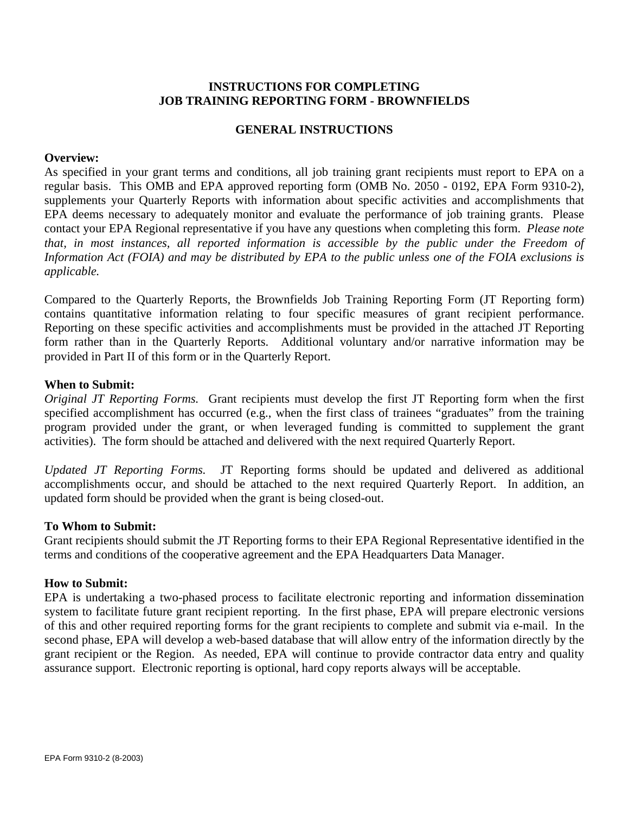## **INSTRUCTIONS FOR COMPLETING JOB TRAINING REPORTING FORM - BROWNFIELDS**

## **GENERAL INSTRUCTIONS**

#### **Overview:**

As specified in your grant terms and conditions, all job training grant recipients must report to EPA on a regular basis. This OMB and EPA approved reporting form (OMB No. 2050 - 0192, EPA Form 9310-2), supplements your Quarterly Reports with information about specific activities and accomplishments that EPA deems necessary to adequately monitor and evaluate the performance of job training grants. Please contact your EPA Regional representative if you have any questions when completing this form. *Please note that, in most instances, all reported information is accessible by the public under the Freedom of Information Act (FOIA) and may be distributed by EPA to the public unless one of the FOIA exclusions is applicable.*

Compared to the Quarterly Reports, the Brownfields Job Training Reporting Form (JT Reporting form) contains quantitative information relating to four specific measures of grant recipient performance. Reporting on these specific activities and accomplishments must be provided in the attached JT Reporting form rather than in the Quarterly Reports. Additional voluntary and/or narrative information may be provided in Part II of this form or in the Quarterly Report.

#### **When to Submit:**

*Original JT Reporting Forms.* Grant recipients must develop the first JT Reporting form when the first specified accomplishment has occurred (e.g., when the first class of trainees "graduates" from the training program provided under the grant, or when leveraged funding is committed to supplement the grant activities). The form should be attached and delivered with the next required Quarterly Report.

*Updated JT Reporting Forms.* JT Reporting forms should be updated and delivered as additional accomplishments occur, and should be attached to the next required Quarterly Report. In addition, an updated form should be provided when the grant is being closed-out.

## **To Whom to Submit:**

Grant recipients should submit the JT Reporting forms to their EPA Regional Representative identified in the terms and conditions of the cooperative agreement and the EPA Headquarters Data Manager.

#### **How to Submit:**

EPA is undertaking a two-phased process to facilitate electronic reporting and information dissemination system to facilitate future grant recipient reporting. In the first phase, EPA will prepare electronic versions of this and other required reporting forms for the grant recipients to complete and submit via e-mail. In the second phase, EPA will develop a web-based database that will allow entry of the information directly by the grant recipient or the Region. As needed, EPA will continue to provide contractor data entry and quality assurance support. Electronic reporting is optional, hard copy reports always will be acceptable.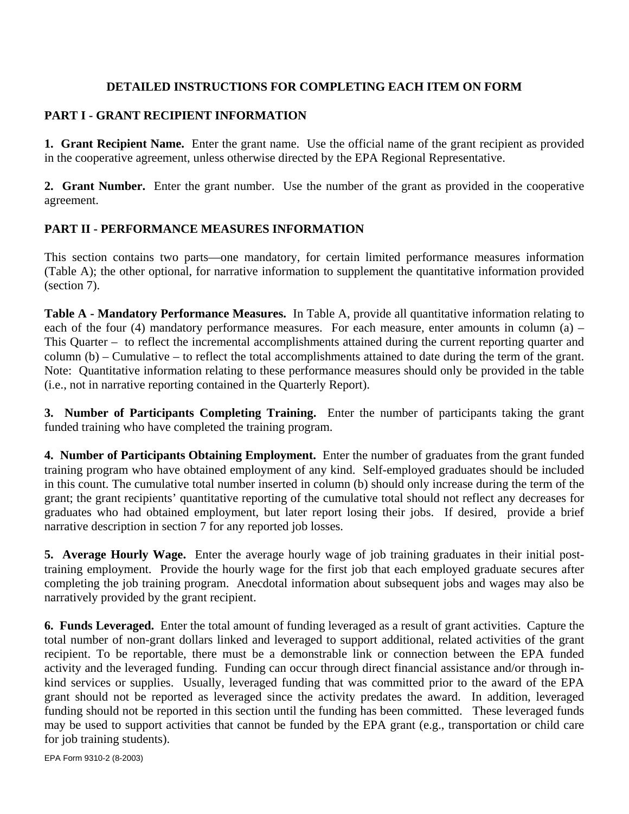# **DETAILED INSTRUCTIONS FOR COMPLETING EACH ITEM ON FORM**

## **PART I - GRANT RECIPIENT INFORMATION**

**1. Grant Recipient Name.** Enter the grant name. Use the official name of the grant recipient as provided in the cooperative agreement, unless otherwise directed by the EPA Regional Representative.

**2. Grant Number.** Enter the grant number. Use the number of the grant as provided in the cooperative agreement.

# **PART II - PERFORMANCE MEASURES INFORMATION**

This section contains two parts—one mandatory, for certain limited performance measures information (Table A); the other optional, for narrative information to supplement the quantitative information provided (section 7).

**Table A - Mandatory Performance Measures.** In Table A, provide all quantitative information relating to each of the four (4) mandatory performance measures. For each measure, enter amounts in column (a) – This Quarter – to reflect the incremental accomplishments attained during the current reporting quarter and column (b) – Cumulative – to reflect the total accomplishments attained to date during the term of the grant. Note: Quantitative information relating to these performance measures should only be provided in the table (i.e., not in narrative reporting contained in the Quarterly Report).

**3. Number of Participants Completing Training.** Enter the number of participants taking the grant funded training who have completed the training program.

**4. Number of Participants Obtaining Employment.** Enter the number of graduates from the grant funded training program who have obtained employment of any kind. Self-employed graduates should be included in this count. The cumulative total number inserted in column (b) should only increase during the term of the grant; the grant recipients' quantitative reporting of the cumulative total should not reflect any decreases for graduates who had obtained employment, but later report losing their jobs. If desired, provide a brief narrative description in section 7 for any reported job losses.

**5. Average Hourly Wage.** Enter the average hourly wage of job training graduates in their initial posttraining employment. Provide the hourly wage for the first job that each employed graduate secures after completing the job training program. Anecdotal information about subsequent jobs and wages may also be narratively provided by the grant recipient.

**6. Funds Leveraged.** Enter the total amount of funding leveraged as a result of grant activities. Capture the total number of non-grant dollars linked and leveraged to support additional, related activities of the grant recipient. To be reportable, there must be a demonstrable link or connection between the EPA funded activity and the leveraged funding. Funding can occur through direct financial assistance and/or through inkind services or supplies. Usually, leveraged funding that was committed prior to the award of the EPA grant should not be reported as leveraged since the activity predates the award. In addition, leveraged funding should not be reported in this section until the funding has been committed. These leveraged funds may be used to support activities that cannot be funded by the EPA grant (e.g., transportation or child care for job training students).